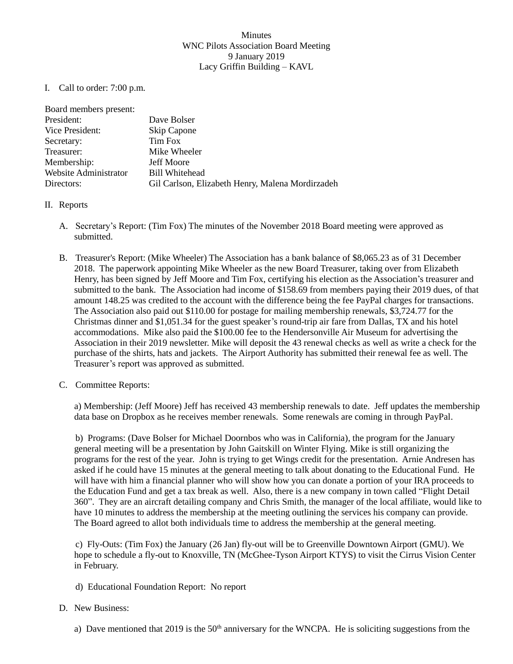## Minutes WNC Pilots Association Board Meeting 9 January 2019 Lacy Griffin Building – KAVL

I. Call to order: 7:00 p.m.

| Dave Bolser                                      |
|--------------------------------------------------|
| Skip Capone                                      |
| Tim Fox                                          |
| Mike Wheeler                                     |
| <b>Jeff Moore</b>                                |
| <b>Bill Whitehead</b>                            |
| Gil Carlson, Elizabeth Henry, Malena Mordirzadeh |
|                                                  |

- II. Reports
	- A. Secretary's Report: (Tim Fox) The minutes of the November 2018 Board meeting were approved as submitted.
	- B. Treasurer's Report: (Mike Wheeler) The Association has a bank balance of \$8,065.23 as of 31 December 2018. The paperwork appointing Mike Wheeler as the new Board Treasurer, taking over from Elizabeth Henry, has been signed by Jeff Moore and Tim Fox, certifying his election as the Association's treasurer and submitted to the bank. The Association had income of \$158.69 from members paying their 2019 dues, of that amount 148.25 was credited to the account with the difference being the fee PayPal charges for transactions. The Association also paid out \$110.00 for postage for mailing membership renewals, \$3,724.77 for the Christmas dinner and \$1,051.34 for the guest speaker's round-trip air fare from Dallas, TX and his hotel accommodations. Mike also paid the \$100.00 fee to the Hendersonville Air Museum for advertising the Association in their 2019 newsletter. Mike will deposit the 43 renewal checks as well as write a check for the purchase of the shirts, hats and jackets. The Airport Authority has submitted their renewal fee as well. The Treasurer's report was approved as submitted.
	- C. Committee Reports:

a) Membership: (Jeff Moore) Jeff has received 43 membership renewals to date. Jeff updates the membership data base on Dropbox as he receives member renewals. Some renewals are coming in through PayPal.

b) Programs: (Dave Bolser for Michael Doornbos who was in California), the program for the January general meeting will be a presentation by John Gaitskill on Winter Flying. Mike is still organizing the programs for the rest of the year. John is trying to get Wings credit for the presentation. Arnie Andresen has asked if he could have 15 minutes at the general meeting to talk about donating to the Educational Fund. He will have with him a financial planner who will show how you can donate a portion of your IRA proceeds to the Education Fund and get a tax break as well. Also, there is a new company in town called "Flight Detail 360". They are an aircraft detailing company and Chris Smith, the manager of the local affiliate, would like to have 10 minutes to address the membership at the meeting outlining the services his company can provide. The Board agreed to allot both individuals time to address the membership at the general meeting.

c) Fly-Outs: (Tim Fox) the January (26 Jan) fly-out will be to Greenville Downtown Airport (GMU). We hope to schedule a fly-out to Knoxville, TN (McGhee-Tyson Airport KTYS) to visit the Cirrus Vision Center in February.

d) Educational Foundation Report: No report

## D. New Business:

a) Dave mentioned that 2019 is the  $50<sup>th</sup>$  anniversary for the WNCPA. He is soliciting suggestions from the